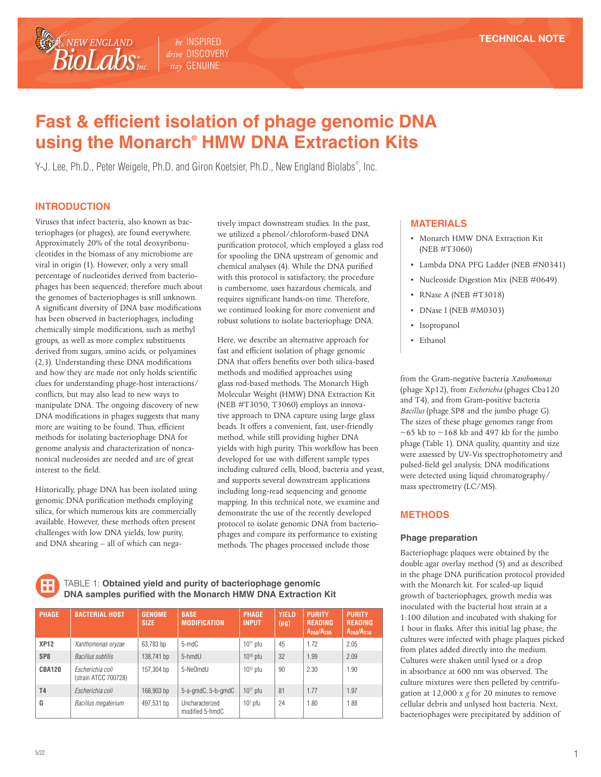*be* INSPIRED *drive* DISCOVERY *stay* GENUINE

# **Fast & efficient isolation of phage genomic DNA using the Monarch® HMW DNA Extraction Kits**

Y-J. Lee, Ph.D., Peter Weigele, Ph.D. and Giron Koetsier, Ph.D., New England Biolabs® , Inc.

### **INTRODUCTION**

NEW ENGLAND **BioLabs** 

Viruses that infect bacteria, also known as bacteriophages (or phages), are found everywhere. Approximately 20% of the total deoxyribonucleotides in the biomass of any microbiome are viral in origin (1). However, only a very small percentage of nucleotides derived from bacteriophages has been sequenced; therefore much about the genomes of bacteriophages is still unknown. A significant diversity of DNA base modifications has been observed in bacteriophages, including chemically simple modifications, such as methyl groups, as well as more complex substituents derived from sugars, amino acids, or polyamines (2,3). Understanding these DNA modifications and how they are made not only holds scientific clues for understanding phage-host interactions/ conflicts, but may also lead to new ways to manipulate DNA. The ongoing discovery of new DNA modifications in phages suggests that many more are waiting to be found. Thus, efficient methods for isolating bacteriophage DNA for genome analysis and characterization of noncanonical nucleosides are needed and are of great interest to the field.

Historically, phage DNA has been isolated using genomic DNA purification methods employing silica, for which numerous kits are commercially available. However, these methods often present challenges with low DNA yields, low purity, and DNA shearing – all of which can nega-

tively impact downstream studies. In the past, we utilized a phenol/chloroform-based DNA purification protocol, which employed a glass rod for spooling the DNA upstream of genomic and chemical analyses (4). While the DNA purified with this protocol is satisfactory, the procedure is cumbersome, uses hazardous chemicals, and requires significant hands-on time. Therefore, we continued looking for more convenient and robust solutions to isolate bacteriophage DNA.

Here, we describe an alternative approach for fast and efficient isolation of phage genomic DNA that offers benefits over both silica-based methods and modified approaches using glass rod-based methods. The Monarch High Molecular Weight (HMW) DNA Extraction Kit (NEB #T3050, T3060) employs an innovative approach to DNA capture using large glass beads. It offers a convenient, fast, user-friendly method, while still providing higher DNA yields with high purity. This workflow has been developed for use with different sample types including cultured cells, blood, bacteria and yeast, and supports several downstream applications including long-read sequencing and genome mapping. In this technical note, we examine and demonstrate the use of the recently developed protocol to isolate genomic DNA from bacteriophages and compare its performance to existing methods. The phages processed include those

TABLE 1: **Obtained yield and purity of bacteriophage genomic DNA samples purified with the Monarch HMW DNA Extraction Kit**

| <b>PHAGE</b>    | <b>BACTERIAL HOST</b>                    | <b>GENOME</b><br><b>SIZE</b> | <b>BASE</b><br><b>MODIFICATION</b> | <b>PHAGE</b><br><b>INPUT</b> | <b>YIELD</b><br>$(\mu g)$ | <b>PURITY</b><br><b>READING</b><br>$A_{260}/A_{280}$ | <b>PURITY</b><br><b>READING</b><br>$A_{260}/A_{230}$ |
|-----------------|------------------------------------------|------------------------------|------------------------------------|------------------------------|---------------------------|------------------------------------------------------|------------------------------------------------------|
| <b>XP12</b>     | Xanthomonas oryzae                       | 63,783 bp                    | 5-mdC                              | $10^{11}$ pfu                | 45                        | 1.72                                                 | 2.05                                                 |
| SP <sub>8</sub> | Bacillus subtilis                        | 138,741 bp                   | 5-hmdU                             | $10^{10}$ pfu                | 32                        | 1.99                                                 | 2.09                                                 |
| <b>CBA120</b>   | Escherichia coli<br>(strain ATCC 700728) | 157,304 bp                   | 5-NeOmdU                           | $10^{12}$ pfu                | 90                        | 2.30                                                 | 1.90                                                 |
| <b>T4</b>       | Escherichia coli                         | 168,903 bp                   | 5-a-gmdC, 5-b-gmdC                 | $10^{11}$ pfu                | 81                        | 1.77                                                 | 1.97                                                 |
| G               | <b>Bacillus megaterium</b>               | 497,531 bp                   | Uncharacterized<br>modified 5-hmdC | $107$ pfu                    | 24                        | 1.80                                                 | 1.88                                                 |

#### **MATERIALS**

- Monarch HMW DNA Extraction Kit (NEB #T3060)
- Lambda DNA PFG Ladder (NEB #N0341)
- Nucleoside Digestion Mix (NEB #0649)
- RNase A (NEB #T3018)
- DNase I (NEB #M0303)
- Isopropanol
- Ethanol

from the Gram-negative bacteria *Xanthomonas* (phage Xp12), from *Escherichia* (phages Cba120 and T4), and from Gram-positive bacteria *Bacillus* (phage SP8 and the jumbo phage G). The sizes of these phage genomes range from  $\sim$  65 kb to  $\sim$  168 kb and 497 kb for the jumbo phage (Table 1). DNA quality, quantity and size were assessed by UV-Vis spectrophotometry and pulsed-field gel analysis; DNA modifications were detected using liquid chromatography/ mass spectrometry (LC/MS).

#### **METHODS**

#### **Phage preparation**

Bacteriophage plaques were obtained by the double agar overlay method (5) and as described in the phage DNA purification protocol provided with the Monarch kit. For scaled-up liquid growth of bacteriophages, growth media was inoculated with the bacterial host strain at a 1:100 dilution and incubated with shaking for 1 hour in flasks. After this initial lag phase, the cultures were infected with phage plaques picked from plates added directly into the medium. Cultures were shaken until lysed or a drop in absorbance at 600 nm was observed. The culture mixtures were then pelleted by centrifugation at 12,000 x *g* for 20 minutes to remove cellular debris and unlysed host bacteria. Next, bacteriophages were precipitated by addition of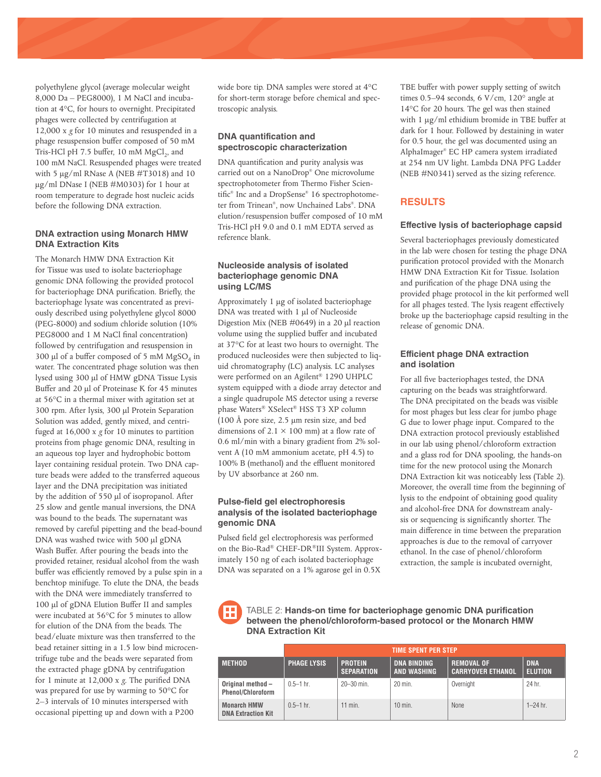polyethylene glycol (average molecular weight 8,000 Da – PEG8000), 1 M NaCl and incubation at 4°C, for hours to overnight. Precipitated phages were collected by centrifugation at 12,000 x *g* for 10 minutes and resuspended in a phage resuspension buffer composed of 50 mM Tris-HCl pH 7.5 buffer, 10 mM  $MgCl<sub>2</sub>$ , and 100 mM NaCl. Resuspended phages were treated with 5  $\mu$ g/ml RNase A (NEB #T3018) and 10 µg/ml DNase I (NEB #M0303) for 1 hour at room temperature to degrade host nucleic acids before the following DNA extraction.

#### **DNA extraction using Monarch HMW DNA Extraction Kits**

The Monarch HMW DNA Extraction Kit for Tissue was used to isolate bacteriophage genomic DNA following the provided protocol for bacteriophage DNA purification. Briefly, the bacteriophage lysate was concentrated as previously described using polyethylene glycol 8000 (PEG-8000) and sodium chloride solution (10% PEG8000 and 1 M NaCl final concentration) followed by centrifugation and resuspension in 300 µl of a buffer composed of 5 mM  $MgSO<sub>4</sub>$  in water. The concentrated phage solution was then lysed using 300 µl of HMW gDNA Tissue Lysis Buffer and 20 µl of Proteinase K for 45 minutes at 56°C in a thermal mixer with agitation set at 300 rpm. After lysis, 300 µl Protein Separation Solution was added, gently mixed, and centrifuged at 16,000 x *g* for 10 minutes to partition proteins from phage genomic DNA, resulting in an aqueous top layer and hydrophobic bottom layer containing residual protein. Two DNA capture beads were added to the transferred aqueous layer and the DNA precipitation was initiated by the addition of 550 µl of isopropanol. After 25 slow and gentle manual inversions, the DNA was bound to the beads. The supernatant was removed by careful pipetting and the bead-bound DNA was washed twice with 500 µl gDNA Wash Buffer. After pouring the beads into the provided retainer, residual alcohol from the wash buffer was efficiently removed by a pulse spin in a benchtop minifuge. To elute the DNA, the beads with the DNA were immediately transferred to 100 µl of gDNA Elution Buffer II and samples were incubated at 56°C for 5 minutes to allow for elution of the DNA from the beads. The bead/eluate mixture was then transferred to the bead retainer sitting in a 1.5 low bind microcentrifuge tube and the beads were separated from the extracted phage gDNA by centrifugation for 1 minute at 12,000 x *g*. The purified DNA was prepared for use by warming to 50°C for 2–3 intervals of 10 minutes interspersed with occasional pipetting up and down with a P200

wide bore tip. DNA samples were stored at 4°C for short-term storage before chemical and spectroscopic analysis.

#### **DNA quantification and spectroscopic characterization**

DNA quantification and purity analysis was carried out on a NanoDrop® One microvolume spectrophotometer from Thermo Fisher Scientific® Inc and a DropSense® 16 spectrophotometer from Trinean® , now Unchained Labs® . DNA elution/resuspension buffer composed of 10 mM Tris-HCl pH 9.0 and 0.1 mM EDTA served as reference blank.

#### **Nucleoside analysis of isolated bacteriophage genomic DNA using LC/MS**

Approximately 1 μg of isolated bacteriophage DNA was treated with 1 μl of Nucleoside Digestion Mix (NEB #0649) in a 20 μl reaction volume using the supplied buffer and incubated at 37°C for at least two hours to overnight. The produced nucleosides were then subjected to liquid chromatography (LC) analysis. LC analyses were performed on an Agilent® 1290 UHPLC system equipped with a diode array detector and a single quadrupole MS detector using a reverse phase Waters® XSelect® HSS T3 XP column (100 Å pore size, 2.5 μm resin size, and bed dimensions of  $2.1 \times 100$  mm) at a flow rate of 0.6 ml/min with a binary gradient from 2% solvent A (10 mM ammonium acetate, pH 4.5) to 100% B (methanol) and the effluent monitored by UV absorbance at 260 nm.

#### **Pulse-field gel electrophoresis analysis of the isolated bacteriophage genomic DNA**

Pulsed field gel electrophoresis was performed on the Bio-Rad® CHEF-DR®III System. Approximately 150 ng of each isolated bacteriophage DNA was separated on a 1% agarose gel in 0.5X

TBE buffer with power supply setting of switch times 0.5–94 seconds, 6 V/cm, 120° angle at 14°C for 20 hours. The gel was then stained with 1  $\mu$ g/ml ethidium bromide in TBE buffer at dark for 1 hour. Followed by destaining in water for 0.5 hour, the gel was documented using an AlphaImager® EC HP camera system irradiated at 254 nm UV light. Lambda DNA PFG Ladder (NEB #N0341) served as the sizing reference.

## **RESULTS**

#### **Effective lysis of bacteriophage capsid**

Several bacteriophages previously domesticated in the lab were chosen for testing the phage DNA purification protocol provided with the Monarch HMW DNA Extraction Kit for Tissue. Isolation and purification of the phage DNA using the provided phage protocol in the kit performed well for all phages tested. The lysis reagent effectively broke up the bacteriophage capsid resulting in the release of genomic DNA.

#### **Efficient phage DNA extraction and isolation**

For all five bacteriophages tested, the DNA capturing on the beads was straightforward. The DNA precipitated on the beads was visible for most phages but less clear for jumbo phage G due to lower phage input. Compared to the DNA extraction protocol previously established in our lab using phenol/chloroform extraction and a glass rod for DNA spooling, the hands-on time for the new protocol using the Monarch DNA Extraction kit was noticeably less (Table 2). Moreover, the overall time from the beginning of lysis to the endpoint of obtaining good quality and alcohol-free DNA for downstream analysis or sequencing is significantly shorter. The main difference in time between the preparation approaches is due to the removal of carryover ethanol. In the case of phenol/chloroform extraction, the sample is incubated overnight,

TABLE 2: **Hands-on time for bacteriophage genomic DNA purification between the phenol/chloroform-based protocol or the Monarch HMW DNA Extraction Kit**

|                                                 | <b>TIME SPENT PER STEP</b> |                                     |                                          |                                               |                              |  |  |  |
|-------------------------------------------------|----------------------------|-------------------------------------|------------------------------------------|-----------------------------------------------|------------------------------|--|--|--|
| <b>METHOD</b>                                   | <b>PHAGE LYSIS</b>         | <b>PROTEIN</b><br><b>SEPARATION</b> | <b>DNA BINDING</b><br><b>AND WASHING</b> | <b>REMOVAL OF</b><br><b>CARRYOVER ETHANOL</b> | <b>DNA</b><br><b>ELUTION</b> |  |  |  |
| Original method -<br><b>Phenol/Chloroform</b>   | $0.5 - 1$ hr.              | $20 - 30$ min.                      | $20$ min.                                | Overnight                                     | 24 hr.                       |  |  |  |
| <b>Monarch HMW</b><br><b>DNA Extraction Kit</b> | $0.5 - 1$ hr.              | $11$ min.                           | $10$ min.                                | <b>None</b>                                   | $1 - 24$ hr.                 |  |  |  |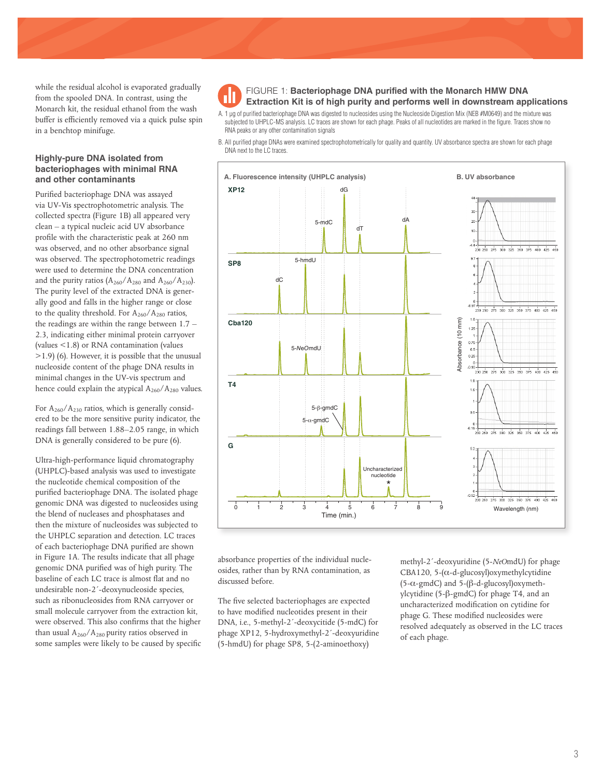while the residual alcohol is evaporated gradually from the spooled DNA. In contrast, using the Monarch kit, the residual ethanol from the wash buffer is efficiently removed via a quick pulse spin in a benchtop minifuge.

#### **Highly-pure DNA isolated from bacteriophages with minimal RNA and other contaminants**

Purified bacteriophage DNA was assayed via UV-Vis spectrophotometric analysis. The collected spectra (Figure 1B) all appeared very clean – a typical nucleic acid UV absorbance profile with the characteristic peak at 260 nm was observed, and no other absorbance signal was observed. The spectrophotometric readings were used to determine the DNA concentration and the purity ratios  $(A_{260}/A_{280})$  and  $A_{260}/A_{230}$ . The purity level of the extracted DNA is generally good and falls in the higher range or close to the quality threshold. For  $A_{260}/A_{280}$  ratios, the readings are within the range between 1.7 – 2.3, indicating either minimal protein carryover (values <1.8) or RNA contamination (values >1.9) (6). However, it is possible that the unusual nucleoside content of the phage DNA results in minimal changes in the UV-vis spectrum and hence could explain the atypical  $A_{260}/A_{280}$  values.

For  $A_{260}/A_{230}$  ratios, which is generally considered to be the more sensitive purity indicator, the readings fall between 1.88–2.05 range, in which DNA is generally considered to be pure (6).

Ultra-high-performance liquid chromatography (UHPLC)-based analysis was used to investigate the nucleotide chemical composition of the purified bacteriophage DNA. The isolated phage genomic DNA was digested to nucleosides using the blend of nucleases and phosphatases and then the mixture of nucleosides was subjected to the UHPLC separation and detection. LC traces of each bacteriophage DNA purified are shown in Figure 1A. The results indicate that all phage genomic DNA purified was of high purity. The baseline of each LC trace is almost flat and no undesirable non-2´-deoxynucleoside species, such as ribonucleosides from RNA carryover or small molecule carryover from the extraction kit, were observed. This also confirms that the higher than usual  $A_{260}/A_{280}$  purity ratios observed in some samples were likely to be caused by specific FIGURE 1: **Bacteriophage DNA purified with the Monarch HMW DNA Extraction Kit is of high purity and performs well in downstream applications**

A. 1 µg of purified bacteriophage DNA was digested to nucleosides using the Nucleoside Digestion Mix (NEB #M0649) and the mixture was subjected to UHPLC-MS analysis. LC traces are shown for each phage. Peaks of all nucleotides are marked in the figure. Traces show no RNA peaks or any other contamination signals

B. All purified phage DNAs were examined spectrophotometrically for quality and quantity. UV absorbance spectra are shown for each phage DNA next to the LC traces.



absorbance properties of the individual nucleosides, rather than by RNA contamination, as discussed before.

The five selected bacteriophages are expected to have modified nucleotides present in their DNA, i.e., 5-methyl-2´-deoxycitide (5-mdC) for phage XP12, 5-hydroxymethyl-2´-deoxyuridine (5-hmdU) for phage SP8, 5-(2-aminoethoxy)

methyl-2´-deoxyuridine (5-*NeO*mdU) for phage CBA120, 5- $(\alpha$ -d-glucosyl)oxymethylcytidine (5-α-gmdC) and 5-(β-d-glucosyl)oxymethylcytidine (5-β-gmdC) for phage T4, and an uncharacterized modification on cytidine for phage G. These modified nucleosides were resolved adequately as observed in the LC traces of each phage.